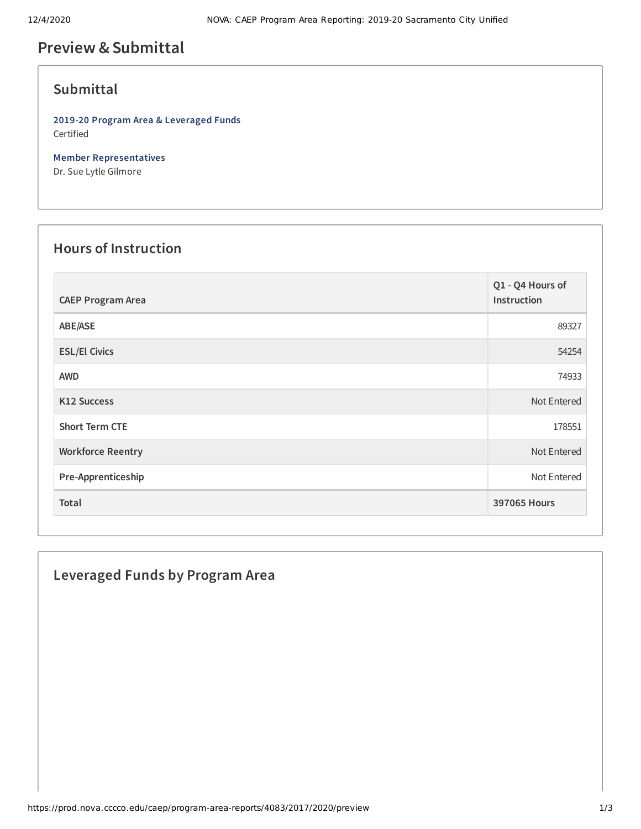# **Preview &Submittal**

#### **Submittal**

**2019-20 Program Area & Leveraged Funds** Certified

**Member Representatives** Dr. Sue Lytle Gilmore

#### **Hours of Instruction**

| <b>CAEP Program Area</b> | Q1 - Q4 Hours of<br>Instruction |
|--------------------------|---------------------------------|
| ABE/ASE                  | 89327                           |
| <b>ESL/El Civics</b>     | 54254                           |
| <b>AWD</b>               | 74933                           |
| <b>K12 Success</b>       | Not Entered                     |
| <b>Short Term CTE</b>    | 178551                          |
| <b>Workforce Reentry</b> | Not Entered                     |
| Pre-Apprenticeship       | Not Entered                     |
| Total                    | 397065 Hours                    |

### **Leveraged Funds by Program Area**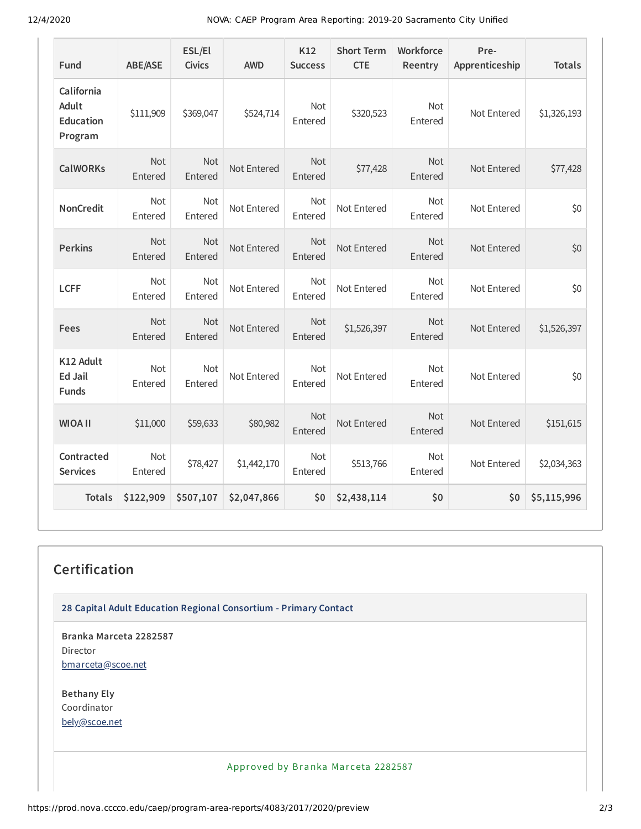12/4/2020 NOVA: CAEP Program Area Reporting: 2019-20 Sacramento City Unified

| Fund                                                      | <b>ABE/ASE</b> | ESL/El<br><b>Civics</b> | <b>AWD</b>  | K12<br><b>Success</b> | <b>Short Term</b><br><b>CTE</b> | Workforce<br>Reentry  | Pre-<br>Apprenticeship | <b>Totals</b> |
|-----------------------------------------------------------|----------------|-------------------------|-------------|-----------------------|---------------------------------|-----------------------|------------------------|---------------|
| California<br><b>Adult</b><br><b>Education</b><br>Program | \$111,909      | \$369,047               | \$524,714   | <b>Not</b><br>Entered | \$320,523                       | <b>Not</b><br>Entered | Not Entered            | \$1,326,193   |
| <b>CalWORKs</b>                                           | Not<br>Entered | Not<br>Entered          | Not Entered | Not<br>Entered        | \$77,428                        | Not<br>Entered        | Not Entered            | \$77,428      |
| <b>NonCredit</b>                                          | Not<br>Entered | Not<br>Entered          | Not Entered | <b>Not</b><br>Entered | Not Entered                     | <b>Not</b><br>Entered | Not Entered            | \$0           |
| <b>Perkins</b>                                            | Not<br>Entered | Not<br>Entered          | Not Entered | Not<br>Entered        | Not Entered                     | Not<br>Entered        | Not Entered            | \$0           |
| <b>LCFF</b>                                               | Not<br>Entered | Not<br>Entered          | Not Entered | <b>Not</b><br>Entered | Not Entered                     | Not<br>Entered        | Not Entered            | \$0           |
| Fees                                                      | Not<br>Entered | Not<br>Entered          | Not Entered | Not<br>Entered        | \$1,526,397                     | <b>Not</b><br>Entered | Not Entered            | \$1,526,397   |
| K12 Adult<br><b>Ed Jail</b><br><b>Funds</b>               | Not<br>Entered | Not<br>Entered          | Not Entered | Not<br>Entered        | Not Entered                     | Not<br>Entered        | Not Entered            | \$0           |
| <b>WIOA II</b>                                            | \$11,000       | \$59,633                | \$80,982    | Not<br>Entered        | Not Entered                     | Not<br>Entered        | Not Entered            | \$151,615     |
| Contracted<br><b>Services</b>                             | Not<br>Entered | \$78,427                | \$1,442,170 | <b>Not</b><br>Entered | \$513,766                       | <b>Not</b><br>Entered | Not Entered            | \$2,034,363   |
| <b>Totals</b>                                             | \$122,909      | \$507,107               | \$2,047,866 | \$0                   | \$2,438,114                     | \$0                   | \$0                    | \$5,115,996   |

## **Certification**

**28 Capital Adult Education Regional Consortium - Primary Contact**

**Branka Marceta 2282587** Director [bmarceta@scoe.net](mailto:bmarceta@scoe.net)

**Bethany Ely** Coordinator [bely@scoe.net](mailto:bely@scoe.net)

Approved by Branka Marceta 2282587